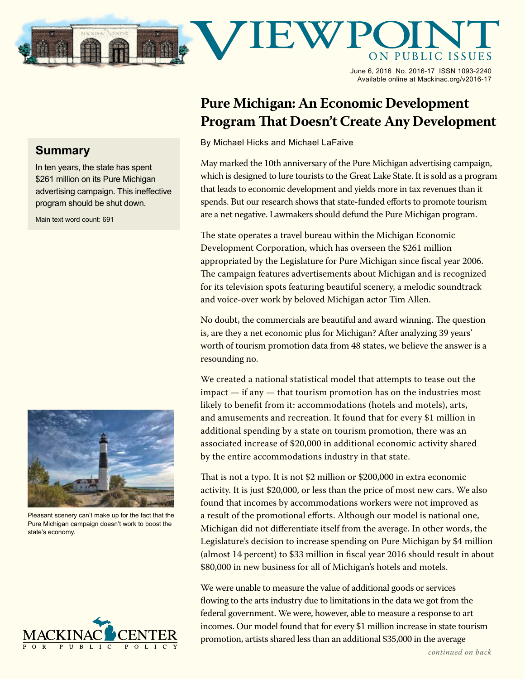

June 6, 2016 No. 2016-17 ISSN 1093-2240 Available online at Mackinac.org/v2016-17

## **Pure Michigan: An Economic Development Program That Doesn't Create Any Development**

By Michael Hicks and Michael LaFaive

May marked the 10th anniversary of the Pure Michigan advertising campaign, which is designed to lure tourists to the Great Lake State. It is sold as a program that leads to economic development and yields more in tax revenues than it spends. But our research shows that state-funded efforts to promote tourism are a net negative. Lawmakers should defund the Pure Michigan program.

The state operates a travel bureau within the Michigan Economic Development Corporation, which has overseen the \$261 million appropriated by the Legislature for Pure Michigan since fiscal year 2006. The campaign features advertisements about Michigan and is recognized for its television spots featuring beautiful scenery, a melodic soundtrack and voice-over work by beloved Michigan actor Tim Allen.

No doubt, the commercials are beautiful and award winning. The question is, are they a net economic plus for Michigan? After analyzing 39 years' worth of tourism promotion data from 48 states, we believe the answer is a resounding no.

We created a national statistical model that attempts to tease out the impact — if any — that tourism promotion has on the industries most likely to benefit from it: accommodations (hotels and motels), arts, and amusements and recreation. It found that for every \$1 million in additional spending by a state on tourism promotion, there was an associated increase of \$20,000 in additional economic activity shared by the entire accommodations industry in that state.

That is not a typo. It is not \$2 million or \$200,000 in extra economic activity. It is just \$20,000, or less than the price of most new cars. We also found that incomes by accommodations workers were not improved as a result of the promotional efforts. Although our model is national one, Michigan did not differentiate itself from the average. In other words, the Legislature's decision to increase spending on Pure Michigan by \$4 million (almost 14 percent) to \$33 million in fiscal year 2016 should result in about \$80,000 in new business for all of Michigan's hotels and motels.

We were unable to measure the value of additional goods or services flowing to the arts industry due to limitations in the data we got from the federal government. We were, however, able to measure a response to art incomes. Our model found that for every \$1 million increase in state tourism promotion, artists shared less than an additional \$35,000 in the average

## **Summary**

In ten years, the state has spent \$261 million on its Pure Michigan advertising campaign. This ineffective program should be shut down.

Main text word count: 691



Pleasant scenery can't make up for the fact that the Pure Michigan campaign doesn't work to boost the state's economy.